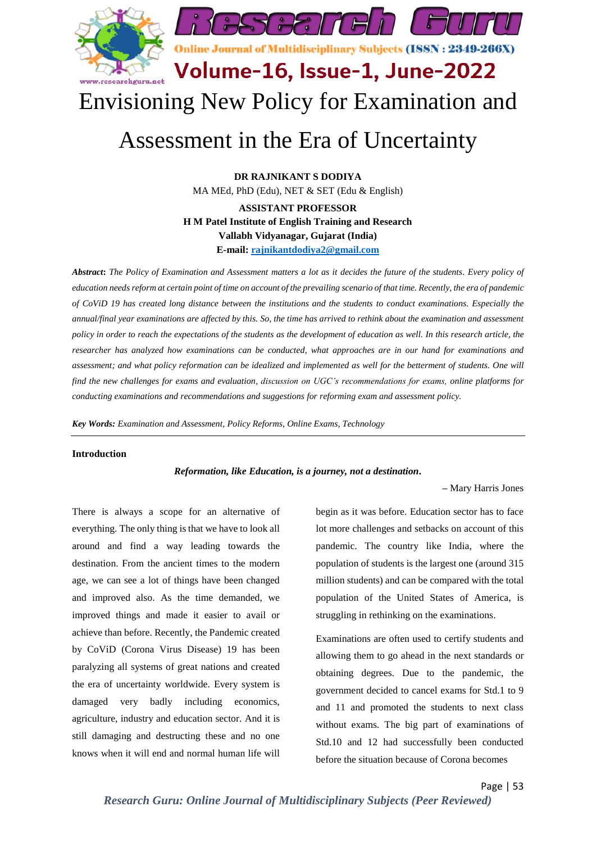

# Envisioning New Policy for Examination and

# Assessment in the Era of Uncertainty

**DR RAJNIKANT S DODIYA** MA MEd, PhD (Edu), NET & SET (Edu & English) **ASSISTANT PROFESSOR H M Patel Institute of English Training and Research Vallabh Vidyanagar, Gujarat (India) E-mail: [rajnikantdodiya2@gmail.com](mailto:rajnikantdodiya2@gmail.com)**

*Abstract***:** *The Policy of Examination and Assessment matters a lot as it decides the future of the students. Every policy of education needs reform at certain point of time on account of the prevailing scenario of that time. Recently, the era of pandemic of CoViD 19 has created long distance between the institutions and the students to conduct examinations. Especially the annual/final year examinations are affected by this. So, the time has arrived to rethink about the examination and assessment policy in order to reach the expectations of the students as the development of education as well. In this research article, the researcher has analyzed how examinations can be conducted, what approaches are in our hand for examinations and*  assessment; and what policy reformation can be idealized and implemented as well for the betterment of students. One will *find the new challenges for exams and evaluation, discussion on UGC's recommendations for exams, online platforms for conducting examinations and recommendations and suggestions for reforming exam and assessment policy.*

*Key Words: Examination and Assessment, Policy Reforms, Online Exams, Technology*

# **Introduction**

*Reformation, like Education, is a journey, not a destination.*

*–* Mary Harris Jones

There is always a scope for an alternative of everything. The only thing is that we have to look all around and find a way leading towards the destination. From the ancient times to the modern age, we can see a lot of things have been changed and improved also. As the time demanded, we improved things and made it easier to avail or achieve than before. Recently, the Pandemic created by CoViD (Corona Virus Disease) 19 has been paralyzing all systems of great nations and created the era of uncertainty worldwide. Every system is damaged very badly including economics, agriculture, industry and education sector. And it is still damaging and destructing these and no one knows when it will end and normal human life will

begin as it was before. Education sector has to face lot more challenges and setbacks on account of this pandemic. The country like India, where the population of students is the largest one (around 315 million students) and can be compared with the total population of the United States of America, is struggling in rethinking on the examinations.

Examinations are often used to certify students and allowing them to go ahead in the next standards or obtaining degrees. Due to the pandemic, the government decided to cancel exams for Std.1 to 9 and 11 and promoted the students to next class without exams. The big part of examinations of Std.10 and 12 had successfully been conducted before the situation because of Corona becomes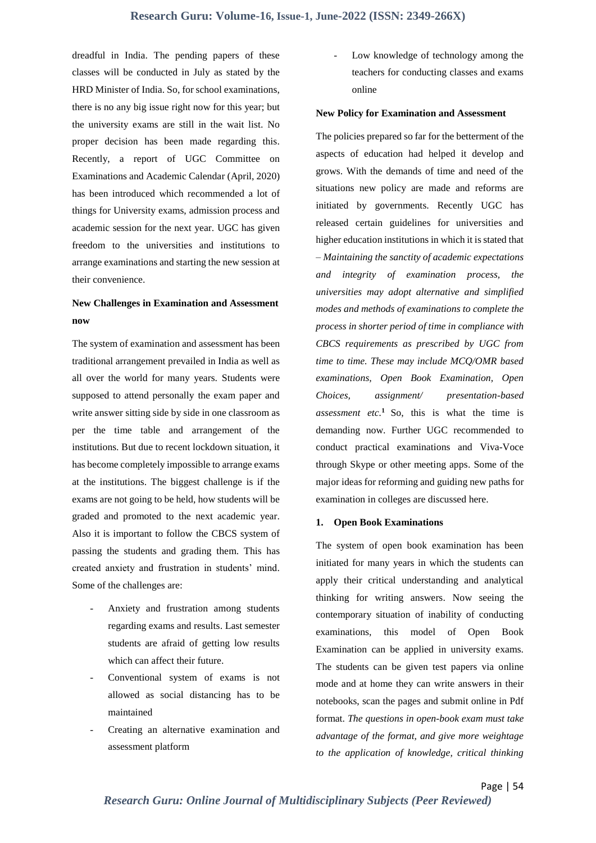dreadful in India. The pending papers of these classes will be conducted in July as stated by the HRD Minister of India. So, for school examinations, there is no any big issue right now for this year; but the university exams are still in the wait list. No proper decision has been made regarding this. Recently, a report of UGC Committee on Examinations and Academic Calendar (April, 2020) has been introduced which recommended a lot of things for University exams, admission process and academic session for the next year. UGC has given freedom to the universities and institutions to arrange examinations and starting the new session at their convenience.

# **New Challenges in Examination and Assessment now**

The system of examination and assessment has been traditional arrangement prevailed in India as well as all over the world for many years. Students were supposed to attend personally the exam paper and write answer sitting side by side in one classroom as per the time table and arrangement of the institutions. But due to recent lockdown situation, it has become completely impossible to arrange exams at the institutions. The biggest challenge is if the exams are not going to be held, how students will be graded and promoted to the next academic year. Also it is important to follow the CBCS system of passing the students and grading them. This has created anxiety and frustration in students' mind. Some of the challenges are:

- Anxiety and frustration among students regarding exams and results. Last semester students are afraid of getting low results which can affect their future.
- Conventional system of exams is not allowed as social distancing has to be maintained
- Creating an alternative examination and assessment platform

Low knowledge of technology among the teachers for conducting classes and exams online

#### **New Policy for Examination and Assessment**

The policies prepared so far for the betterment of the aspects of education had helped it develop and grows. With the demands of time and need of the situations new policy are made and reforms are initiated by governments. Recently UGC has released certain guidelines for universities and higher education institutions in which it is stated that – *Maintaining the sanctity of academic expectations and integrity of examination process, the universities may adopt alternative and simplified modes and methods of examinations to complete the process in shorter period of time in compliance with CBCS requirements as prescribed by UGC from time to time. These may include MCQ/OMR based examinations, Open Book Examination, Open Choices, assignment/ presentation-based assessment etc.*<sup>1</sup> So, this is what the time is demanding now. Further UGC recommended to conduct practical examinations and Viva-Voce through Skype or other meeting apps. Some of the major ideas for reforming and guiding new paths for examination in colleges are discussed here.

# **1. Open Book Examinations**

The system of open book examination has been initiated for many years in which the students can apply their critical understanding and analytical thinking for writing answers. Now seeing the contemporary situation of inability of conducting examinations, this model of Open Book Examination can be applied in university exams. The students can be given test papers via online mode and at home they can write answers in their notebooks, scan the pages and submit online in Pdf format. *The questions in open-book exam must take advantage of the format, and give more weightage to the application of knowledge, critical thinking* 

Page | 54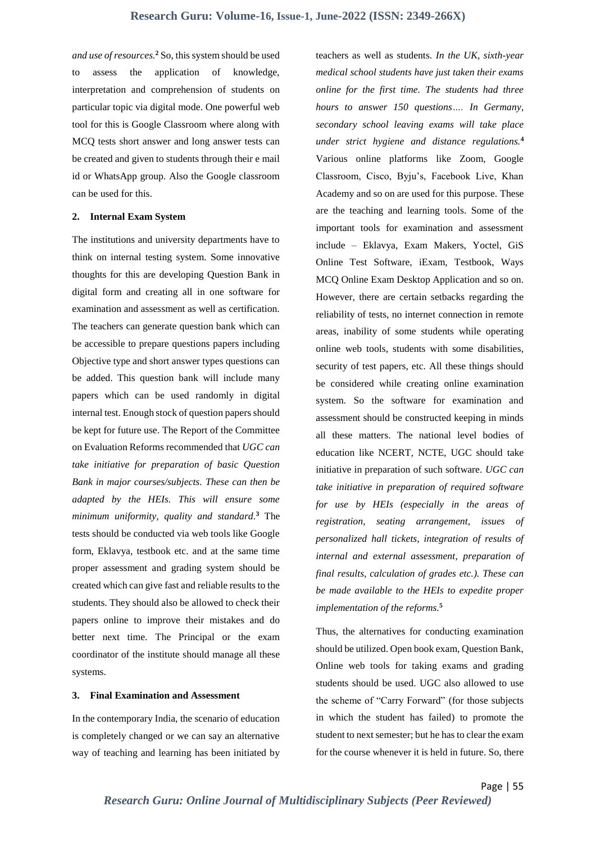*and use of resources.***<sup>2</sup>** So, this system should be used to assess the application of knowledge, interpretation and comprehension of students on particular topic via digital mode. One powerful web tool for this is Google Classroom where along with MCQ tests short answer and long answer tests can be created and given to students through their e mail id or WhatsApp group. Also the Google classroom can be used for this.

# **2. Internal Exam System**

The institutions and university departments have to think on internal testing system. Some innovative thoughts for this are developing Question Bank in digital form and creating all in one software for examination and assessment as well as certification. The teachers can generate question bank which can be accessible to prepare questions papers including Objective type and short answer types questions can be added. This question bank will include many papers which can be used randomly in digital internal test. Enough stock of question papers should be kept for future use. The Report of the Committee on Evaluation Reforms recommended that *UGC can take initiative for preparation of basic Question Bank in major courses/subjects. These can then be adapted by the HEIs. This will ensure some minimum uniformity, quality and standard.* **<sup>3</sup>** The tests should be conducted via web tools like Google form, Eklavya, testbook etc. and at the same time proper assessment and grading system should be created which can give fast and reliable results to the students. They should also be allowed to check their papers online to improve their mistakes and do better next time. The Principal or the exam coordinator of the institute should manage all these systems.

# **3. Final Examination and Assessment**

In the contemporary India, the scenario of education is completely changed or we can say an alternative way of teaching and learning has been initiated by

teachers as well as students. *In the UK, sixth-year medical school students have just taken their exams online for the first time. The students had three hours to answer 150 questions…. In Germany, secondary school leaving exams will take place under strict hygiene and distance regulations.***<sup>4</sup>** Various online platforms like Zoom, Google Classroom, Cisco, Byju's, Facebook Live, Khan Academy and so on are used for this purpose. These are the teaching and learning tools. Some of the important tools for examination and assessment include – Eklavya, Exam Makers, Yoctel, GiS Online Test Software, iExam, Testbook, Ways MCQ Online Exam Desktop Application and so on. However, there are certain setbacks regarding the reliability of tests, no internet connection in remote areas, inability of some students while operating online web tools, students with some disabilities, security of test papers, etc. All these things should be considered while creating online examination system. So the software for examination and assessment should be constructed keeping in minds all these matters. The national level bodies of education like NCERT, NCTE, UGC should take initiative in preparation of such software. *UGC can take initiative in preparation of required software for use by HEIs (especially in the areas of registration, seating arrangement, issues of personalized hall tickets, integration of results of internal and external assessment, preparation of final results, calculation of grades etc.). These can be made available to the HEIs to expedite proper implementation of the reforms.***<sup>5</sup>**

Thus, the alternatives for conducting examination should be utilized. Open book exam, Question Bank, Online web tools for taking exams and grading students should be used. UGC also allowed to use the scheme of "Carry Forward" (for those subjects in which the student has failed) to promote the student to next semester; but he has to clear the exam for the course whenever it is held in future. So, there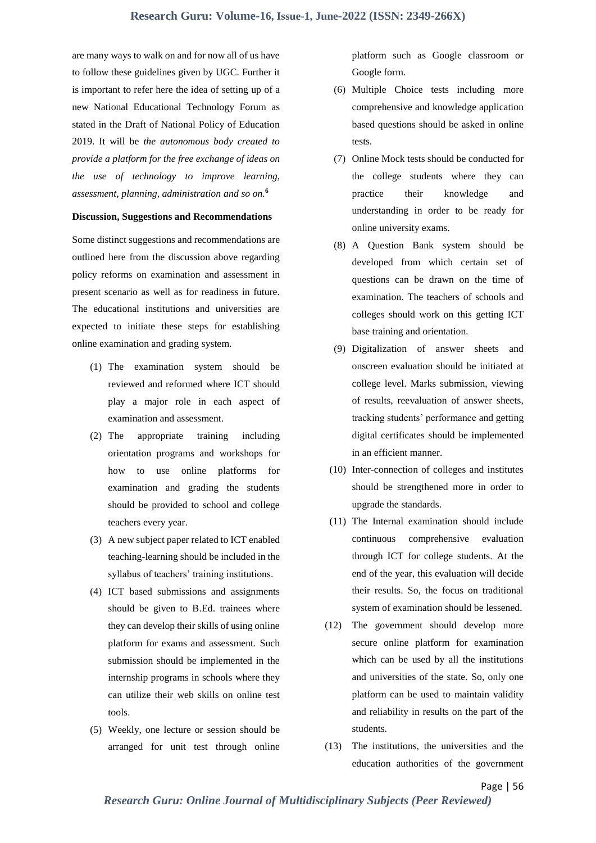are many ways to walk on and for now all of us have to follow these guidelines given by UGC. Further it is important to refer here the idea of setting up of a new National Educational Technology Forum as stated in the Draft of National Policy of Education 2019. It will be *the autonomous body created to provide a platform for the free exchange of ideas on the use of technology to improve learning, assessment, planning, administration and so on.* **6**

# **Discussion, Suggestions and Recommendations**

Some distinct suggestions and recommendations are outlined here from the discussion above regarding policy reforms on examination and assessment in present scenario as well as for readiness in future. The educational institutions and universities are expected to initiate these steps for establishing online examination and grading system.

- (1) The examination system should be reviewed and reformed where ICT should play a major role in each aspect of examination and assessment.
- (2) The appropriate training including orientation programs and workshops for how to use online platforms for examination and grading the students should be provided to school and college teachers every year.
- (3) A new subject paper related to ICT enabled teaching-learning should be included in the syllabus of teachers' training institutions.
- (4) ICT based submissions and assignments should be given to B.Ed. trainees where they can develop their skills of using online platform for exams and assessment. Such submission should be implemented in the internship programs in schools where they can utilize their web skills on online test tools.
- (5) Weekly, one lecture or session should be arranged for unit test through online

platform such as Google classroom or Google form.

- (6) Multiple Choice tests including more comprehensive and knowledge application based questions should be asked in online tests.
- (7) Online Mock tests should be conducted for the college students where they can practice their knowledge and understanding in order to be ready for online university exams.
- (8) A Question Bank system should be developed from which certain set of questions can be drawn on the time of examination. The teachers of schools and colleges should work on this getting ICT base training and orientation.
- (9) Digitalization of answer sheets and onscreen evaluation should be initiated at college level. Marks submission, viewing of results, reevaluation of answer sheets, tracking students' performance and getting digital certificates should be implemented in an efficient manner.
- (10) Inter-connection of colleges and institutes should be strengthened more in order to upgrade the standards.
- (11) The Internal examination should include continuous comprehensive evaluation through ICT for college students. At the end of the year, this evaluation will decide their results. So, the focus on traditional system of examination should be lessened.
- (12) The government should develop more secure online platform for examination which can be used by all the institutions and universities of the state. So, only one platform can be used to maintain validity and reliability in results on the part of the students.
- (13) The institutions, the universities and the education authorities of the government